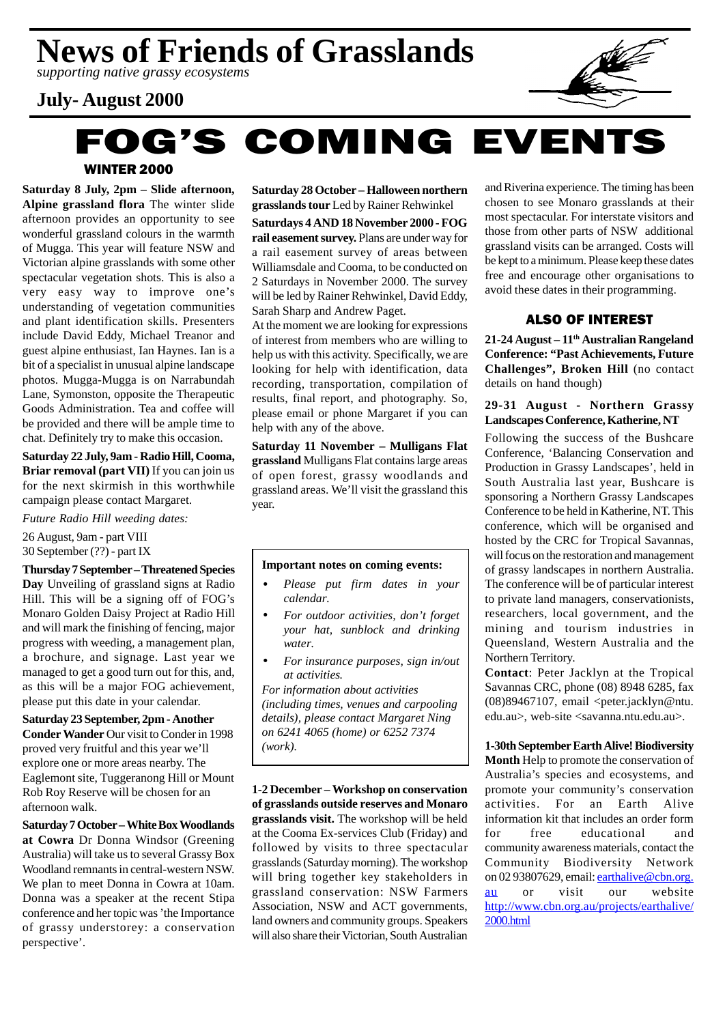*supporting native grassy ecosystems*

## **July- August 2000**



## WINTER 2000 **FOG'S COMING EVENTS**

**Saturday 8 July, 2pm – Slide afternoon, Alpine grassland flora** The winter slide afternoon provides an opportunity to see wonderful grassland colours in the warmth of Mugga. This year will feature NSW and Victorian alpine grasslands with some other spectacular vegetation shots. This is also a very easy way to improve one's understanding of vegetation communities and plant identification skills. Presenters include David Eddy, Michael Treanor and guest alpine enthusiast, Ian Haynes. Ian is a bit of a specialist in unusual alpine landscape photos. Mugga-Mugga is on Narrabundah Lane, Symonston, opposite the Therapeutic Goods Administration. Tea and coffee will be provided and there will be ample time to chat. Definitely try to make this occasion.

**Saturday 22 July, 9am - Radio Hill, Cooma, Briar removal (part VII)** If you can join us for the next skirmish in this worthwhile campaign please contact Margaret.

*Future Radio Hill weeding dates:*

26 August, 9am - part VIII 30 September (??) - part IX

**Thursday 7 September – Threatened Species Day** Unveiling of grassland signs at Radio Hill. This will be a signing off of FOG's Monaro Golden Daisy Project at Radio Hill and will mark the finishing of fencing, major progress with weeding, a management plan, a brochure, and signage. Last year we managed to get a good turn out for this, and, as this will be a major FOG achievement, please put this date in your calendar.

**Saturday 23 September, 2pm - Another Conder Wander** Our visit to Conder in 1998 proved very fruitful and this year we'll explore one or more areas nearby. The Eaglemont site, Tuggeranong Hill or Mount Rob Roy Reserve will be chosen for an afternoon walk.

**Saturday 7 October – White Box Woodlands at Cowra** Dr Donna Windsor (Greening Australia) will take us to several Grassy Box Woodland remnants in central-western NSW. We plan to meet Donna in Cowra at 10am. Donna was a speaker at the recent Stipa conference and her topic was 'the Importance of grassy understorey: a conservation perspective'.

**Saturday 28 October – Halloween northern grasslands tour** Led by Rainer Rehwinkel

**Saturdays 4 AND 18 November 2000 - FOG rail easement survey.** Plans are under way for a rail easement survey of areas between Williamsdale and Cooma, to be conducted on 2 Saturdays in November 2000. The survey will be led by Rainer Rehwinkel, David Eddy, Sarah Sharp and Andrew Paget.

At the moment we are looking for expressions of interest from members who are willing to help us with this activity. Specifically, we are looking for help with identification, data recording, transportation, compilation of results, final report, and photography. So, please email or phone Margaret if you can help with any of the above.

**Saturday 11 November – Mulligans Flat grassland** Mulligans Flat contains large areas of open forest, grassy woodlands and grassland areas. We'll visit the grassland this year.

### **Important notes on coming events:**

- *Please put firm dates in your calendar.*
- *For outdoor activities, don't forget your hat, sunblock and drinking water.*
- *For insurance purposes, sign in/out at activities.*

*For information about activities (including times, venues and carpooling details), please contact Margaret Ning on 6241 4065 (home) or 6252 7374 (work).*

**1-2 December – Workshop on conservation of grasslands outside reserves and Monaro grasslands visit.** The workshop will be held at the Cooma Ex-services Club (Friday) and followed by visits to three spectacular grasslands (Saturday morning). The workshop will bring together key stakeholders in grassland conservation: NSW Farmers Association, NSW and ACT governments, land owners and community groups. Speakers will also share their Victorian, South Australian

and Riverina experience. The timing has been chosen to see Monaro grasslands at their most spectacular. For interstate visitors and those from other parts of NSW additional grassland visits can be arranged. Costs will be kept to a minimum. Please keep these dates free and encourage other organisations to avoid these dates in their programming.

### ALSO OF INTEREST

**21-24 August – 11th Australian Rangeland Conference: "Past Achievements, Future Challenges", Broken Hill** (no contact details on hand though)

### **29-31 August - Northern Grassy Landscapes Conference, Katherine, NT**

Following the success of the Bushcare Conference, 'Balancing Conservation and Production in Grassy Landscapes', held in South Australia last year, Bushcare is sponsoring a Northern Grassy Landscapes Conference to be held in Katherine, NT. This conference, which will be organised and hosted by the CRC for Tropical Savannas, will focus on the restoration and management of grassy landscapes in northern Australia. The conference will be of particular interest to private land managers, conservationists, researchers, local government, and the mining and tourism industries in Queensland, Western Australia and the Northern Territory.

**Contact**: Peter Jacklyn at the Tropical Savannas CRC, phone (08) 8948 6285, fax (08)89467107, email <peter.jacklyn@ntu. edu.au>, web-site <savanna.ntu.edu.au>.

### **1-30th SeptemberEarth Alive! Biodiversity**

**Month** Help to promote the conservation of Australia's species and ecosystems, and promote your community's conservation activities. For an Earth Alive information kit that includes an order form for free educational and community awareness materials, contact the Community Biodiversity Network on 02 93807629, email: earthalive@cbn.org. au or visit our website http://www.cbn.org.au/projects/earthalive/ 2000.html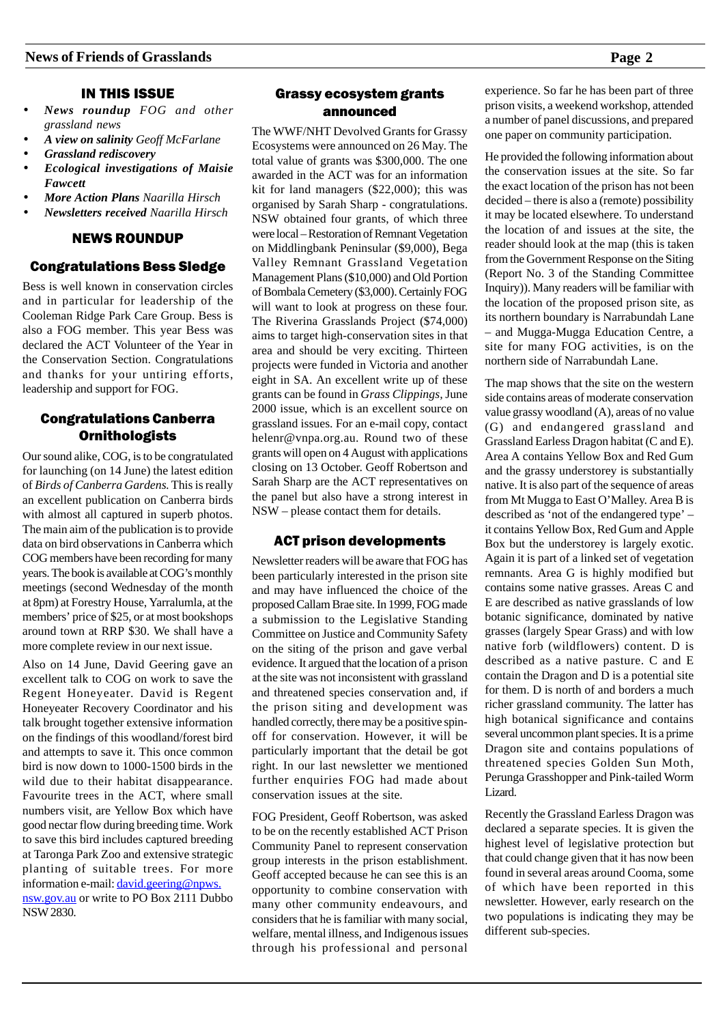- *News roundup FOG and other grassland news*
- *A view on salinity Geoff McFarlane*
- *Grassland rediscovery*
- *Ecological investigations of Maisie Fawcett*
- *More Action Plans Naarilla Hirsch*
- *Newsletters received Naarilla Hirsch*

### NEWS ROUNDUP

### Congratulations Bess Sledge

Bess is well known in conservation circles and in particular for leadership of the Cooleman Ridge Park Care Group. Bess is also a FOG member. This year Bess was declared the ACT Volunteer of the Year in the Conservation Section. Congratulations and thanks for your untiring efforts, leadership and support for FOG.

### Congratulations Canberra **Ornithologists**

Our sound alike, COG, is to be congratulated for launching (on 14 June) the latest edition of *Birds of Canberra Gardens.* This is really an excellent publication on Canberra birds with almost all captured in superb photos. The main aim of the publication is to provide data on bird observations in Canberra which COG members have been recording for many years. The book is available at COG's monthly meetings (second Wednesday of the month at 8pm) at Forestry House, Yarralumla, at the members' price of \$25, or at most bookshops around town at RRP \$30. We shall have a more complete review in our next issue.

Also on 14 June, David Geering gave an excellent talk to COG on work to save the Regent Honeyeater. David is Regent Honeyeater Recovery Coordinator and his talk brought together extensive information on the findings of this woodland/forest bird and attempts to save it. This once common bird is now down to 1000-1500 birds in the wild due to their habitat disappearance. Favourite trees in the ACT, where small numbers visit, are Yellow Box which have good nectar flow during breeding time. Work to save this bird includes captured breeding at Taronga Park Zoo and extensive strategic planting of suitable trees. For more information e-mail: david.geering@npws. nsw.gov.au or write to PO Box 2111 Dubbo NSW 2830.

### Grassy ecosystem grants announced

The WWF/NHT Devolved Grants for Grassy Ecosystems were announced on 26 May. The total value of grants was \$300,000. The one awarded in the ACT was for an information kit for land managers (\$22,000); this was organised by Sarah Sharp - congratulations. NSW obtained four grants, of which three were local – Restoration of Remnant Vegetation on Middlingbank Peninsular (\$9,000), Bega Valley Remnant Grassland Vegetation Management Plans (\$10,000) and Old Portion of Bombala Cemetery (\$3,000). Certainly FOG will want to look at progress on these four. The Riverina Grasslands Project (\$74,000) aims to target high-conservation sites in that area and should be very exciting. Thirteen projects were funded in Victoria and another eight in SA. An excellent write up of these grants can be found in *Grass Clippings,* June 2000 issue, which is an excellent source on grassland issues. For an e-mail copy, contact helenr@vnpa.org.au. Round two of these grants will open on 4 August with applications closing on 13 October. Geoff Robertson and Sarah Sharp are the ACT representatives on the panel but also have a strong interest in NSW – please contact them for details.

### ACT prison developments

Newsletter readers will be aware that FOG has been particularly interested in the prison site and may have influenced the choice of the proposed Callam Brae site. In 1999, FOG made a submission to the Legislative Standing Committee on Justice and Community Safety on the siting of the prison and gave verbal evidence. It argued that the location of a prison at the site was not inconsistent with grassland and threatened species conservation and, if the prison siting and development was handled correctly, there may be a positive spinoff for conservation. However, it will be particularly important that the detail be got right. In our last newsletter we mentioned further enquiries FOG had made about conservation issues at the site.

FOG President, Geoff Robertson, was asked to be on the recently established ACT Prison Community Panel to represent conservation group interests in the prison establishment. Geoff accepted because he can see this is an opportunity to combine conservation with many other community endeavours, and considers that he is familiar with many social, welfare, mental illness, and Indigenous issues through his professional and personal

experience. So far he has been part of three prison visits, a weekend workshop, attended a number of panel discussions, and prepared one paper on community participation.

He provided the following information about the conservation issues at the site. So far the exact location of the prison has not been decided – there is also a (remote) possibility it may be located elsewhere. To understand the location of and issues at the site, the reader should look at the map (this is taken from the Government Response on the Siting (Report No. 3 of the Standing Committee Inquiry)). Many readers will be familiar with the location of the proposed prison site, as its northern boundary is Narrabundah Lane – and Mugga-Mugga Education Centre, a site for many FOG activities, is on the northern side of Narrabundah Lane.

The map shows that the site on the western side contains areas of moderate conservation value grassy woodland (A), areas of no value (G) and endangered grassland and Grassland Earless Dragon habitat (C and E). Area A contains Yellow Box and Red Gum and the grassy understorey is substantially native. It is also part of the sequence of areas from Mt Mugga to East O'Malley. Area B is described as 'not of the endangered type' – it contains Yellow Box, Red Gum and Apple Box but the understorey is largely exotic. Again it is part of a linked set of vegetation remnants. Area G is highly modified but contains some native grasses. Areas C and E are described as native grasslands of low botanic significance, dominated by native grasses (largely Spear Grass) and with low native forb (wildflowers) content. D is described as a native pasture. C and E contain the Dragon and D is a potential site for them. D is north of and borders a much richer grassland community. The latter has high botanical significance and contains several uncommon plant species. It is a prime Dragon site and contains populations of threatened species Golden Sun Moth, Perunga Grasshopper and Pink-tailed Worm Lizard.

Recently the Grassland Earless Dragon was declared a separate species. It is given the highest level of legislative protection but that could change given that it has now been found in several areas around Cooma, some of which have been reported in this newsletter. However, early research on the two populations is indicating they may be different sub-species.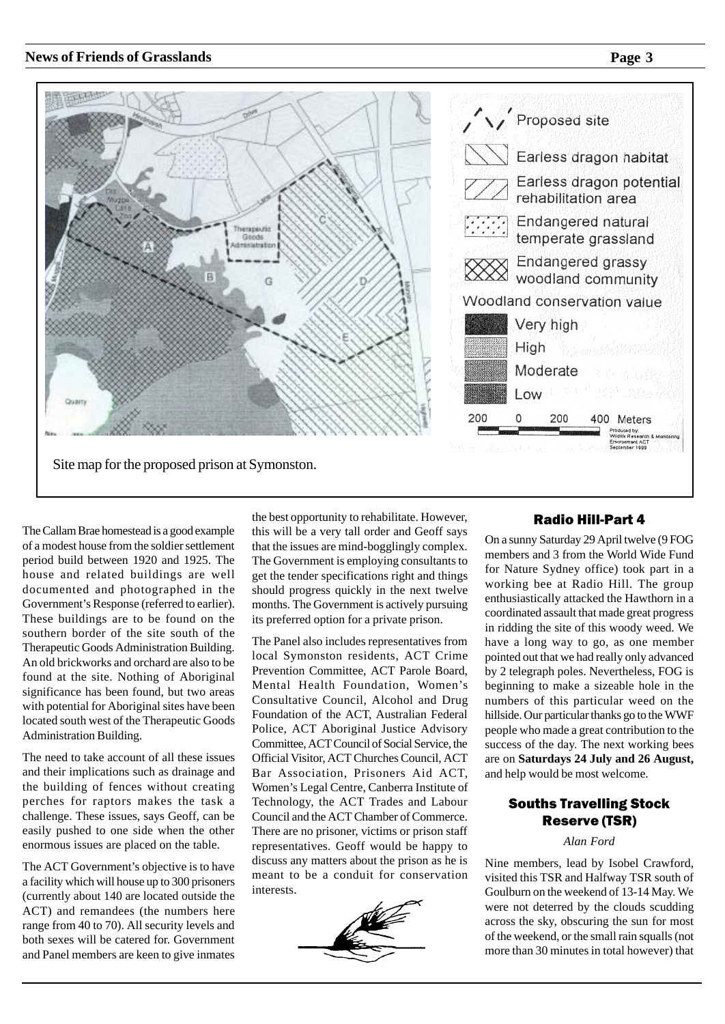

The Callam Brae homestead is a good example of a modest house from the soldier settlement period build between 1920 and 1925. The house and related buildings are well documented and photographed in the Government's Response (referred to earlier). These buildings are to be found on the southern border of the site south of the Therapeutic Goods Administration Building. An old brickworks and orchard are also to be found at the site. Nothing of Aboriginal significance has been found, but two areas with potential for Aboriginal sites have been located south west of the Therapeutic Goods Administration Building.

The need to take account of all these issues and their implications such as drainage and the building of fences without creating perches for raptors makes the task a challenge. These issues, says Geoff, can be easily pushed to one side when the other enormous issues are placed on the table.

The ACT Government's objective is to have a facility which will house up to 300 prisoners (currently about 140 are located outside the ACT) and remandees (the numbers here range from 40 to 70). All security levels and both sexes will be catered for. Government and Panel members are keen to give inmates the best opportunity to rehabilitate. However, this will be a very tall order and Geoff says that the issues are mind-bogglingly complex. The Government is employing consultants to get the tender specifications right and things should progress quickly in the next twelve months. The Government is actively pursuing its preferred option for a private prison.

The Panel also includes representatives from local Symonston residents, ACT Crime Prevention Committee, ACT Parole Board, Mental Health Foundation, Women's Consultative Council, Alcohol and Drug Foundation of the ACT, Australian Federal Police, ACT Aboriginal Justice Advisory Committee, ACT Council of Social Service, the Official Visitor, ACT Churches Council, ACT Bar Association, Prisoners Aid ACT, Women's Legal Centre, Canberra Institute of Technology, the ACT Trades and Labour Council and the ACT Chamber of Commerce. There are no prisoner, victims or prison staff representatives. Geoff would be happy to discuss any matters about the prison as he is meant to be a conduit for conservation interests.



### Radio Hill-Part 4

On a sunny Saturday 29 April twelve (9 FOG members and 3 from the World Wide Fund for Nature Sydney office) took part in a working bee at Radio Hill. The group enthusiastically attacked the Hawthorn in a coordinated assault that made great progress in ridding the site of this woody weed. We have a long way to go, as one member pointed out that we had really only advanced by 2 telegraph poles. Nevertheless, FOG is beginning to make a sizeable hole in the numbers of this particular weed on the hillside. Our particular thanks go to the WWF people who made a great contribution to the success of the day. The next working bees are on **Saturdays 24 July and 26 August,** and help would be most welcome.

### Souths Travelling Stock Reserve (TSR)

### *Alan Ford*

Nine members, lead by Isobel Crawford, visited this TSR and Halfway TSR south of Goulburn on the weekend of 13-14 May. We were not deterred by the clouds scudding across the sky, obscuring the sun for most of the weekend, or the small rain squalls (not more than 30 minutes in total however) that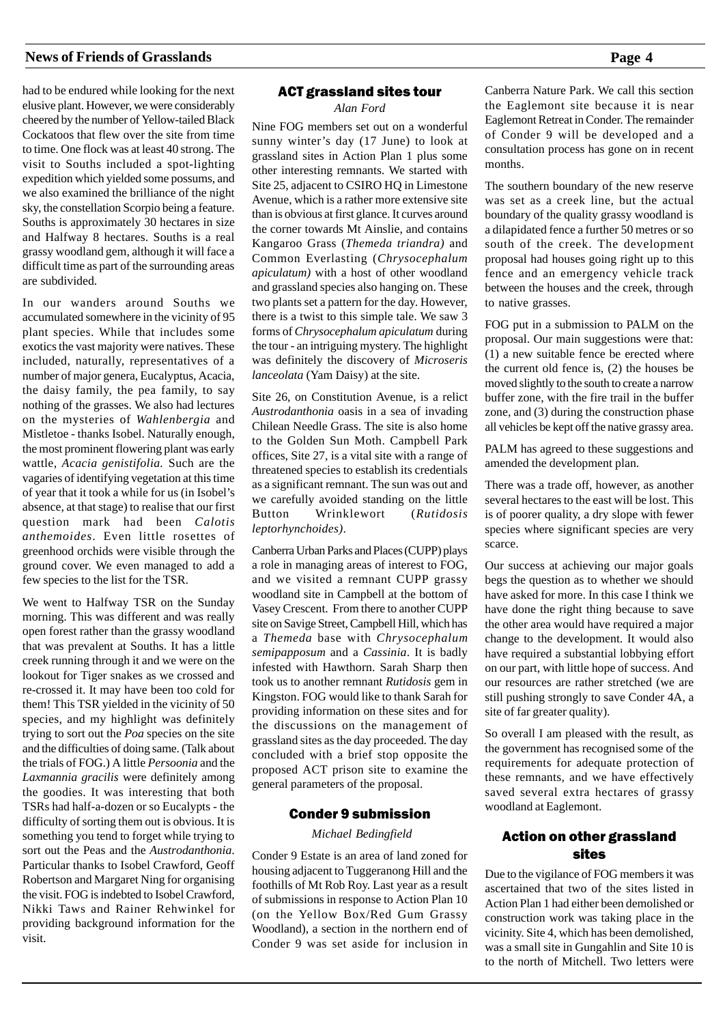had to be endured while looking for the next elusive plant. However, we were considerably cheered by the number of Yellow-tailed Black Cockatoos that flew over the site from time to time. One flock was at least 40 strong. The visit to Souths included a spot-lighting expedition which yielded some possums, and we also examined the brilliance of the night sky, the constellation Scorpio being a feature. Souths is approximately 30 hectares in size and Halfway 8 hectares. Souths is a real grassy woodland gem, although it will face a difficult time as part of the surrounding areas are subdivided.

In our wanders around Souths we accumulated somewhere in the vicinity of 95 plant species. While that includes some exotics the vast majority were natives. These included, naturally, representatives of a number of major genera, Eucalyptus, Acacia, the daisy family, the pea family, to say nothing of the grasses. We also had lectures on the mysteries of *Wahlenbergia* and Mistletoe - thanks Isobel. Naturally enough, the most prominent flowering plant was early wattle, *Acacia genistifolia.* Such are the vagaries of identifying vegetation at this time of year that it took a while for us (in Isobel's absence, at that stage) to realise that our first question mark had been *Calotis anthemoides*. Even little rosettes of greenhood orchids were visible through the ground cover. We even managed to add a few species to the list for the TSR.

We went to Halfway TSR on the Sunday morning. This was different and was really open forest rather than the grassy woodland that was prevalent at Souths. It has a little creek running through it and we were on the lookout for Tiger snakes as we crossed and re-crossed it. It may have been too cold for them! This TSR yielded in the vicinity of 50 species, and my highlight was definitely trying to sort out the *Poa* species on the site and the difficulties of doing same. (Talk about the trials of FOG.) A little *Persoonia* and the *Laxmannia gracilis* were definitely among the goodies. It was interesting that both TSRs had half-a-dozen or so Eucalypts - the difficulty of sorting them out is obvious. It is something you tend to forget while trying to sort out the Peas and the *Austrodanthonia*. Particular thanks to Isobel Crawford, Geoff Robertson and Margaret Ning for organising the visit. FOG is indebted to Isobel Crawford, Nikki Taws and Rainer Rehwinkel for providing background information for the visit.

### ACT grassland sites tour

*Alan Ford*

Nine FOG members set out on a wonderful sunny winter's day (17 June) to look at grassland sites in Action Plan 1 plus some other interesting remnants. We started with Site 25, adjacent to CSIRO HQ in Limestone Avenue, which is a rather more extensive site than is obvious at first glance. It curves around the corner towards Mt Ainslie, and contains Kangaroo Grass (*Themeda triandra)* and Common Everlasting (*Chrysocephalum apiculatum)* with a host of other woodland and grassland species also hanging on. These two plants set a pattern for the day. However, there is a twist to this simple tale. We saw 3 forms of *Chrysocephalum apiculatum* during the tour - an intriguing mystery. The highlight was definitely the discovery of *Microseris lanceolata* (Yam Daisy) at the site.

Site 26, on Constitution Avenue, is a relict *Austrodanthonia* oasis in a sea of invading Chilean Needle Grass. The site is also home to the Golden Sun Moth. Campbell Park offices, Site 27, is a vital site with a range of threatened species to establish its credentials as a significant remnant. The sun was out and we carefully avoided standing on the little Button Wrinklewort (*Rutidosis leptorhynchoides)*.

Canberra Urban Parks and Places (CUPP) plays a role in managing areas of interest to FOG, and we visited a remnant CUPP grassy woodland site in Campbell at the bottom of Vasey Crescent. From there to another CUPP site on Savige Street, Campbell Hill, which has a *Themeda* base with *Chrysocephalum semipapposum* and a *Cassinia*. It is badly infested with Hawthorn. Sarah Sharp then took us to another remnant *Rutidosis* gem in Kingston. FOG would like to thank Sarah for providing information on these sites and for the discussions on the management of grassland sites as the day proceeded. The day concluded with a brief stop opposite the proposed ACT prison site to examine the general parameters of the proposal.

### Conder 9 submission

 *Michael Bedingfield*

Conder 9 Estate is an area of land zoned for housing adjacent to Tuggeranong Hill and the foothills of Mt Rob Roy. Last year as a result of submissions in response to Action Plan 10 (on the Yellow Box/Red Gum Grassy Woodland), a section in the northern end of Conder 9 was set aside for inclusion in Canberra Nature Park. We call this section the Eaglemont site because it is near Eaglemont Retreat in Conder. The remainder of Conder 9 will be developed and a consultation process has gone on in recent months.

The southern boundary of the new reserve was set as a creek line, but the actual boundary of the quality grassy woodland is a dilapidated fence a further 50 metres or so south of the creek. The development proposal had houses going right up to this fence and an emergency vehicle track between the houses and the creek, through to native grasses.

FOG put in a submission to PALM on the proposal. Our main suggestions were that: (1) a new suitable fence be erected where the current old fence is, (2) the houses be moved slightly to the south to create a narrow buffer zone, with the fire trail in the buffer zone, and (3) during the construction phase all vehicles be kept off the native grassy area.

PALM has agreed to these suggestions and amended the development plan.

There was a trade off, however, as another several hectares to the east will be lost. This is of poorer quality, a dry slope with fewer species where significant species are very scarce.

Our success at achieving our major goals begs the question as to whether we should have asked for more. In this case I think we have done the right thing because to save the other area would have required a major change to the development. It would also have required a substantial lobbying effort on our part, with little hope of success. And our resources are rather stretched (we are still pushing strongly to save Conder 4A, a site of far greater quality).

So overall I am pleased with the result, as the government has recognised some of the requirements for adequate protection of these remnants, and we have effectively saved several extra hectares of grassy woodland at Eaglemont.

### Action on other grassland sites

Due to the vigilance of FOG members it was ascertained that two of the sites listed in Action Plan 1 had either been demolished or construction work was taking place in the vicinity. Site 4, which has been demolished, was a small site in Gungahlin and Site 10 is to the north of Mitchell. Two letters were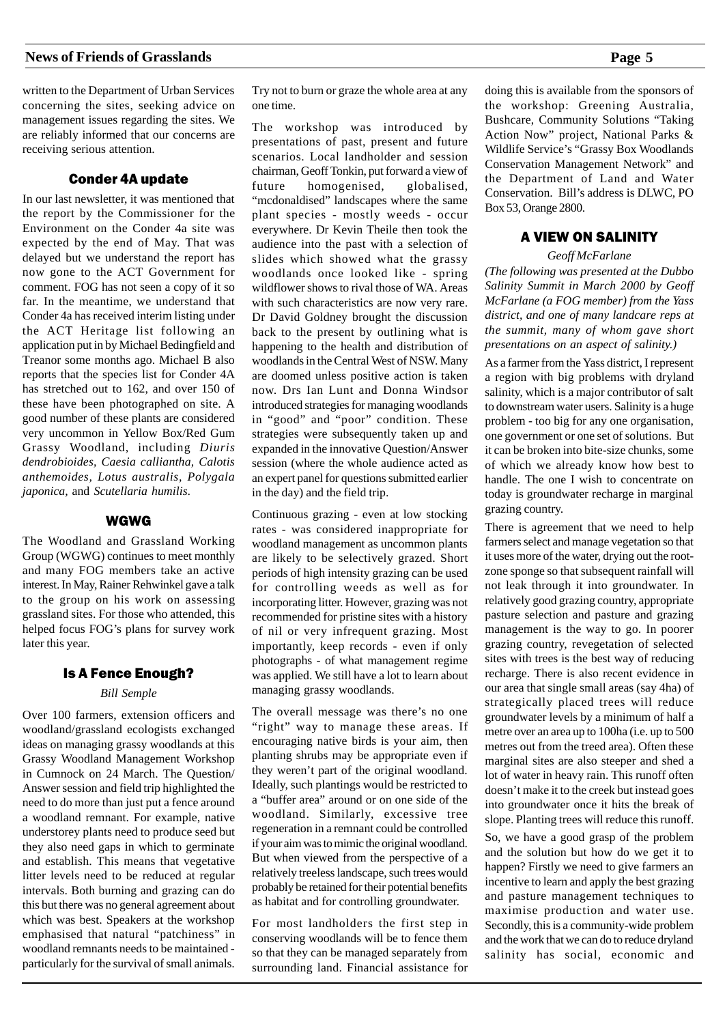written to the Department of Urban Services concerning the sites, seeking advice on management issues regarding the sites. We are reliably informed that our concerns are receiving serious attention.

### Conder 4A update

In our last newsletter, it was mentioned that the report by the Commissioner for the Environment on the Conder 4a site was expected by the end of May. That was delayed but we understand the report has now gone to the ACT Government for comment. FOG has not seen a copy of it so far. In the meantime, we understand that Conder 4a has received interim listing under the ACT Heritage list following an application put in by Michael Bedingfield and Treanor some months ago. Michael B also reports that the species list for Conder 4A has stretched out to 162, and over 150 of these have been photographed on site. A good number of these plants are considered very uncommon in Yellow Box/Red Gum Grassy Woodland, including *Diuris dendrobioides, Caesia calliantha, Calotis anthemoides, Lotus australis, Polygala japonica,* and *Scutellaria humilis*.

### WGWG

The Woodland and Grassland Working Group (WGWG) continues to meet monthly and many FOG members take an active interest. In May, Rainer Rehwinkel gave a talk to the group on his work on assessing grassland sites. For those who attended, this helped focus FOG's plans for survey work later this year.

### Is A Fence Enough?

### *Bill Semple*

Over 100 farmers, extension officers and woodland/grassland ecologists exchanged ideas on managing grassy woodlands at this Grassy Woodland Management Workshop in Cumnock on 24 March. The Question/ Answer session and field trip highlighted the need to do more than just put a fence around a woodland remnant. For example, native understorey plants need to produce seed but they also need gaps in which to germinate and establish. This means that vegetative litter levels need to be reduced at regular intervals. Both burning and grazing can do this but there was no general agreement about which was best. Speakers at the workshop emphasised that natural "patchiness" in woodland remnants needs to be maintained particularly for the survival of small animals.

Try not to burn or graze the whole area at any one time.

The workshop was introduced by presentations of past, present and future scenarios. Local landholder and session chairman, Geoff Tonkin, put forward a view of future homogenised, globalised, "mcdonaldised" landscapes where the same plant species - mostly weeds - occur everywhere. Dr Kevin Theile then took the audience into the past with a selection of slides which showed what the grassy woodlands once looked like - spring wildflower shows to rival those of WA. Areas with such characteristics are now very rare. Dr David Goldney brought the discussion back to the present by outlining what is happening to the health and distribution of woodlands in the Central West of NSW. Many are doomed unless positive action is taken now. Drs Ian Lunt and Donna Windsor introduced strategies for managing woodlands in "good" and "poor" condition. These strategies were subsequently taken up and expanded in the innovative Question/Answer session (where the whole audience acted as an expert panel for questions submitted earlier in the day) and the field trip.

Continuous grazing - even at low stocking rates - was considered inappropriate for woodland management as uncommon plants are likely to be selectively grazed. Short periods of high intensity grazing can be used for controlling weeds as well as for incorporating litter. However, grazing was not recommended for pristine sites with a history of nil or very infrequent grazing. Most importantly, keep records - even if only photographs - of what management regime was applied. We still have a lot to learn about managing grassy woodlands.

The overall message was there's no one "right" way to manage these areas. If encouraging native birds is your aim, then planting shrubs may be appropriate even if they weren't part of the original woodland. Ideally, such plantings would be restricted to a "buffer area" around or on one side of the woodland. Similarly, excessive tree regeneration in a remnant could be controlled if your aim was to mimic the original woodland. But when viewed from the perspective of a relatively treeless landscape, such trees would probably be retained for their potential benefits as habitat and for controlling groundwater.

For most landholders the first step in conserving woodlands will be to fence them so that they can be managed separately from surrounding land. Financial assistance for doing this is available from the sponsors of the workshop: Greening Australia, Bushcare, Community Solutions "Taking Action Now" project, National Parks & Wildlife Service's "Grassy Box Woodlands Conservation Management Network" and the Department of Land and Water Conservation. Bill's address is DLWC, PO Box 53, Orange 2800.

### A VIEW ON SALINITY

### *Geoff McFarlane*

*(The following was presented at the Dubbo Salinity Summit in March 2000 by Geoff McFarlane (a FOG member) from the Yass district, and one of many landcare reps at the summit, many of whom gave short presentations on an aspect of salinity.)*

As a farmer from the Yass district, I represent a region with big problems with dryland salinity, which is a major contributor of salt to downstream water users. Salinity is a huge problem - too big for any one organisation, one government or one set of solutions. But it can be broken into bite-size chunks, some of which we already know how best to handle. The one I wish to concentrate on today is groundwater recharge in marginal grazing country.

There is agreement that we need to help farmers select and manage vegetation so that it uses more of the water, drying out the rootzone sponge so that subsequent rainfall will not leak through it into groundwater. In relatively good grazing country, appropriate pasture selection and pasture and grazing management is the way to go. In poorer grazing country, revegetation of selected sites with trees is the best way of reducing recharge. There is also recent evidence in our area that single small areas (say 4ha) of strategically placed trees will reduce groundwater levels by a minimum of half a metre over an area up to 100ha (i.e. up to 500 metres out from the treed area). Often these marginal sites are also steeper and shed a lot of water in heavy rain. This runoff often doesn't make it to the creek but instead goes into groundwater once it hits the break of slope. Planting trees will reduce this runoff.

So, we have a good grasp of the problem and the solution but how do we get it to happen? Firstly we need to give farmers an incentive to learn and apply the best grazing and pasture management techniques to maximise production and water use. Secondly, this is a community-wide problem and the work that we can do to reduce dryland salinity has social, economic and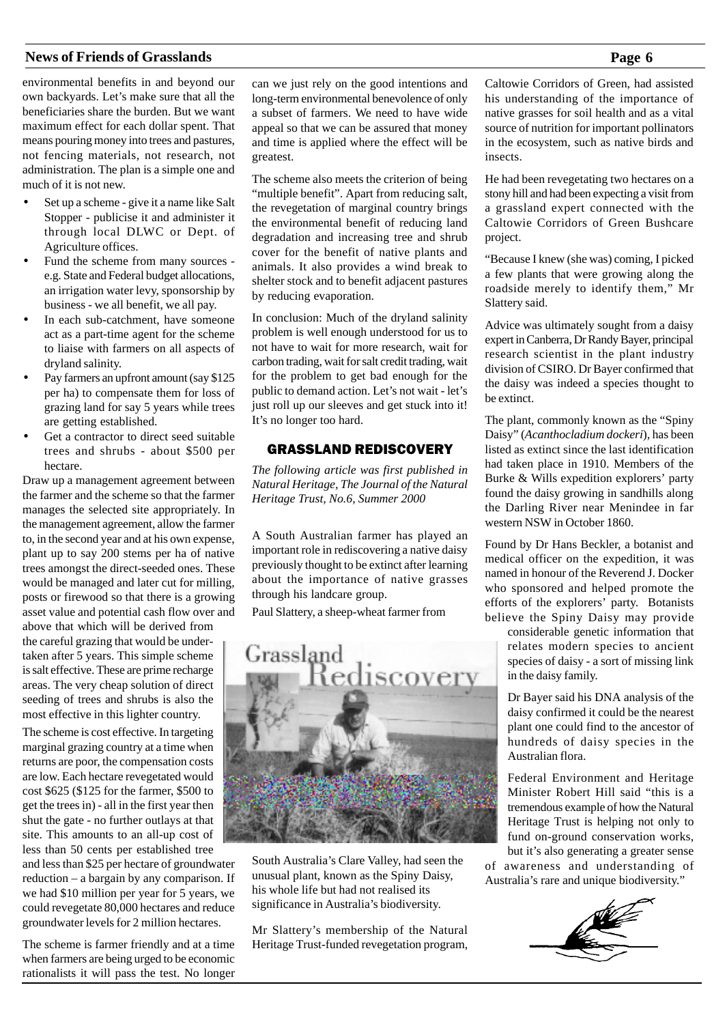environmental benefits in and beyond our own backyards. Let's make sure that all the beneficiaries share the burden. But we want maximum effect for each dollar spent. That means pouring money into trees and pastures, not fencing materials, not research, not administration. The plan is a simple one and much of it is not new.

- Set up a scheme give it a name like Salt Stopper - publicise it and administer it through local DLWC or Dept. of Agriculture offices.
- Fund the scheme from many sources e.g. State and Federal budget allocations, an irrigation water levy, sponsorship by business - we all benefit, we all pay.
- In each sub-catchment, have someone act as a part-time agent for the scheme to liaise with farmers on all aspects of dryland salinity.
- Pay farmers an upfront amount (say \$125 per ha) to compensate them for loss of grazing land for say 5 years while trees are getting established.
- Get a contractor to direct seed suitable trees and shrubs - about \$500 per hectare.

Draw up a management agreement between the farmer and the scheme so that the farmer manages the selected site appropriately. In the management agreement, allow the farmer to, in the second year and at his own expense, plant up to say 200 stems per ha of native trees amongst the direct-seeded ones. These would be managed and later cut for milling, posts or firewood so that there is a growing asset value and potential cash flow over and

above that which will be derived from the careful grazing that would be undertaken after 5 years. This simple scheme is salt effective. These are prime recharge areas. The very cheap solution of direct seeding of trees and shrubs is also the most effective in this lighter country.

The scheme is cost effective. In targeting marginal grazing country at a time when returns are poor, the compensation costs are low. Each hectare revegetated would cost \$625 (\$125 for the farmer, \$500 to get the trees in) - all in the first year then shut the gate - no further outlays at that site. This amounts to an all-up cost of less than 50 cents per established tree

and less than \$25 per hectare of groundwater reduction – a bargain by any comparison. If we had \$10 million per year for 5 years, we could revegetate 80,000 hectares and reduce groundwater levels for 2 million hectares.

The scheme is farmer friendly and at a time when farmers are being urged to be economic rationalists it will pass the test. No longer can we just rely on the good intentions and long-term environmental benevolence of only a subset of farmers. We need to have wide appeal so that we can be assured that money and time is applied where the effect will be greatest.

The scheme also meets the criterion of being "multiple benefit". Apart from reducing salt, the revegetation of marginal country brings the environmental benefit of reducing land degradation and increasing tree and shrub cover for the benefit of native plants and animals. It also provides a wind break to shelter stock and to benefit adjacent pastures by reducing evaporation.

In conclusion: Much of the dryland salinity problem is well enough understood for us to not have to wait for more research, wait for carbon trading, wait for salt credit trading, wait for the problem to get bad enough for the public to demand action. Let's not wait - let's just roll up our sleeves and get stuck into it! It's no longer too hard.

### GRASSLAND REDISCOVERY

*The following article was first published in Natural Heritage, The Journal of the Natural Heritage Trust, No.6, Summer 2000*

A South Australian farmer has played an important role in rediscovering a native daisy previously thought to be extinct after learning about the importance of native grasses through his landcare group.

Paul Slattery, a sheep-wheat farmer from



South Australia's Clare Valley, had seen the unusual plant, known as the Spiny Daisy, his whole life but had not realised its significance in Australia's biodiversity.

Mr Slattery's membership of the Natural Heritage Trust-funded revegetation program, Caltowie Corridors of Green, had assisted his understanding of the importance of native grasses for soil health and as a vital source of nutrition for important pollinators in the ecosystem, such as native birds and insects.

He had been revegetating two hectares on a stony hill and had been expecting a visit from a grassland expert connected with the Caltowie Corridors of Green Bushcare project.

"Because I knew (she was) coming, I picked a few plants that were growing along the roadside merely to identify them," Mr Slattery said.

Advice was ultimately sought from a daisy expert in Canberra, Dr Randy Bayer, principal research scientist in the plant industry division of CSIRO. Dr Bayer confirmed that the daisy was indeed a species thought to be extinct.

The plant, commonly known as the "Spiny Daisy" (*Acanthocladium dockeri*), has been listed as extinct since the last identification had taken place in 1910. Members of the Burke & Wills expedition explorers' party found the daisy growing in sandhills along the Darling River near Menindee in far western NSW in October 1860.

Found by Dr Hans Beckler, a botanist and medical officer on the expedition, it was named in honour of the Reverend J. Docker who sponsored and helped promote the efforts of the explorers' party. Botanists believe the Spiny Daisy may provide

considerable genetic information that relates modern species to ancient species of daisy - a sort of missing link in the daisy family.

Dr Bayer said his DNA analysis of the daisy confirmed it could be the nearest plant one could find to the ancestor of hundreds of daisy species in the Australian flora.

Federal Environment and Heritage Minister Robert Hill said "this is a tremendous example of how the Natural Heritage Trust is helping not only to fund on-ground conservation works, but it's also generating a greater sense

of awareness and understanding of Australia's rare and unique biodiversity."

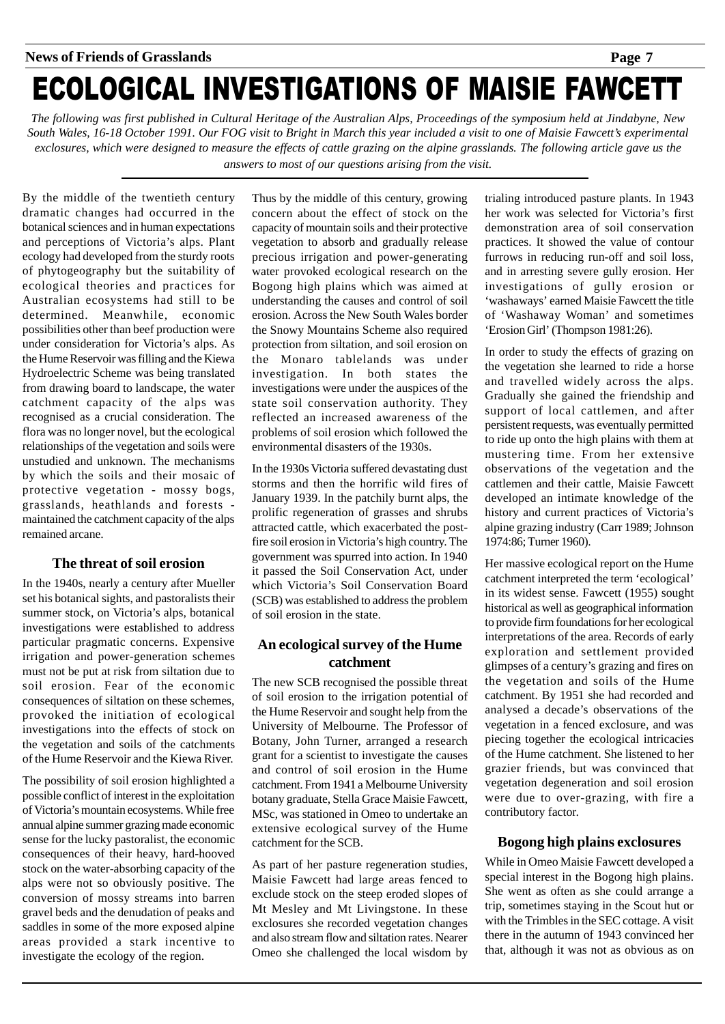# ECOLOGICAL INVESTIGATIONS OF MAISIE FAWCETT

*The following was first published in Cultural Heritage of the Australian Alps, Proceedings of the symposium held at Jindabyne, New South Wales, 16-18 October 1991. Our FOG visit to Bright in March this year included a visit to one of Maisie Fawcett's experimental exclosures, which were designed to measure the effects of cattle grazing on the alpine grasslands. The following article gave us the answers to most of our questions arising from the visit.*

By the middle of the twentieth century dramatic changes had occurred in the botanical sciences and in human expectations and perceptions of Victoria's alps. Plant ecology had developed from the sturdy roots of phytogeography but the suitability of ecological theories and practices for Australian ecosystems had still to be determined. Meanwhile, economic possibilities other than beef production were under consideration for Victoria's alps. As the Hume Reservoir was filling and the Kiewa Hydroelectric Scheme was being translated from drawing board to landscape, the water catchment capacity of the alps was recognised as a crucial consideration. The flora was no longer novel, but the ecological relationships of the vegetation and soils were unstudied and unknown. The mechanisms by which the soils and their mosaic of protective vegetation - mossy bogs, grasslands, heathlands and forests maintained the catchment capacity of the alps remained arcane.

### **The threat of soil erosion**

In the 1940s, nearly a century after Mueller set his botanical sights, and pastoralists their summer stock, on Victoria's alps, botanical investigations were established to address particular pragmatic concerns. Expensive irrigation and power-generation schemes must not be put at risk from siltation due to soil erosion. Fear of the economic consequences of siltation on these schemes, provoked the initiation of ecological investigations into the effects of stock on the vegetation and soils of the catchments of the Hume Reservoir and the Kiewa River.

The possibility of soil erosion highlighted a possible conflict of interest in the exploitation of Victoria's mountain ecosystems. While free annual alpine summer grazing made economic sense for the lucky pastoralist, the economic consequences of their heavy, hard-hooved stock on the water-absorbing capacity of the alps were not so obviously positive. The conversion of mossy streams into barren gravel beds and the denudation of peaks and saddles in some of the more exposed alpine areas provided a stark incentive to investigate the ecology of the region.

Thus by the middle of this century, growing concern about the effect of stock on the capacity of mountain soils and their protective vegetation to absorb and gradually release precious irrigation and power-generating water provoked ecological research on the Bogong high plains which was aimed at understanding the causes and control of soil erosion. Across the New South Wales border the Snowy Mountains Scheme also required protection from siltation, and soil erosion on the Monaro tablelands was under investigation. In both states the investigations were under the auspices of the state soil conservation authority. They reflected an increased awareness of the problems of soil erosion which followed the environmental disasters of the 1930s.

In the 1930s Victoria suffered devastating dust storms and then the horrific wild fires of January 1939. In the patchily burnt alps, the prolific regeneration of grasses and shrubs attracted cattle, which exacerbated the postfire soil erosion in Victoria's high country. The government was spurred into action. In 1940 it passed the Soil Conservation Act, under which Victoria's Soil Conservation Board (SCB) was established to address the problem of soil erosion in the state.

### **An ecological survey of the Hume catchment**

The new SCB recognised the possible threat of soil erosion to the irrigation potential of the Hume Reservoir and sought help from the University of Melbourne. The Professor of Botany, John Turner, arranged a research grant for a scientist to investigate the causes and control of soil erosion in the Hume catchment. From 1941 a Melbourne University botany graduate, Stella Grace Maisie Fawcett, MSc, was stationed in Omeo to undertake an extensive ecological survey of the Hume catchment for the SCB.

As part of her pasture regeneration studies, Maisie Fawcett had large areas fenced to exclude stock on the steep eroded slopes of Mt Mesley and Mt Livingstone. In these exclosures she recorded vegetation changes and also stream flow and siltation rates. Nearer Omeo she challenged the local wisdom by

trialing introduced pasture plants. In 1943 her work was selected for Victoria's first demonstration area of soil conservation practices. It showed the value of contour furrows in reducing run-off and soil loss, and in arresting severe gully erosion. Her investigations of gully erosion or 'washaways' earned Maisie Fawcett the title of 'Washaway Woman' and sometimes 'Erosion Girl' (Thompson 1981:26).

In order to study the effects of grazing on the vegetation she learned to ride a horse and travelled widely across the alps. Gradually she gained the friendship and support of local cattlemen, and after persistent requests, was eventually permitted to ride up onto the high plains with them at mustering time. From her extensive observations of the vegetation and the cattlemen and their cattle, Maisie Fawcett developed an intimate knowledge of the history and current practices of Victoria's alpine grazing industry (Carr 1989; Johnson 1974:86; Turner 1960).

Her massive ecological report on the Hume catchment interpreted the term 'ecological' in its widest sense. Fawcett (1955) sought historical as well as geographical information to provide firm foundations for her ecological interpretations of the area. Records of early exploration and settlement provided glimpses of a century's grazing and fires on the vegetation and soils of the Hume catchment. By 1951 she had recorded and analysed a decade's observations of the vegetation in a fenced exclosure, and was piecing together the ecological intricacies of the Hume catchment. She listened to her grazier friends, but was convinced that vegetation degeneration and soil erosion were due to over-grazing, with fire a contributory factor.

### **Bogong high plains exclosures**

While in Omeo Maisie Fawcett developed a special interest in the Bogong high plains. She went as often as she could arrange a trip, sometimes staying in the Scout hut or with the Trimbles in the SEC cottage. A visit there in the autumn of 1943 convinced her that, although it was not as obvious as on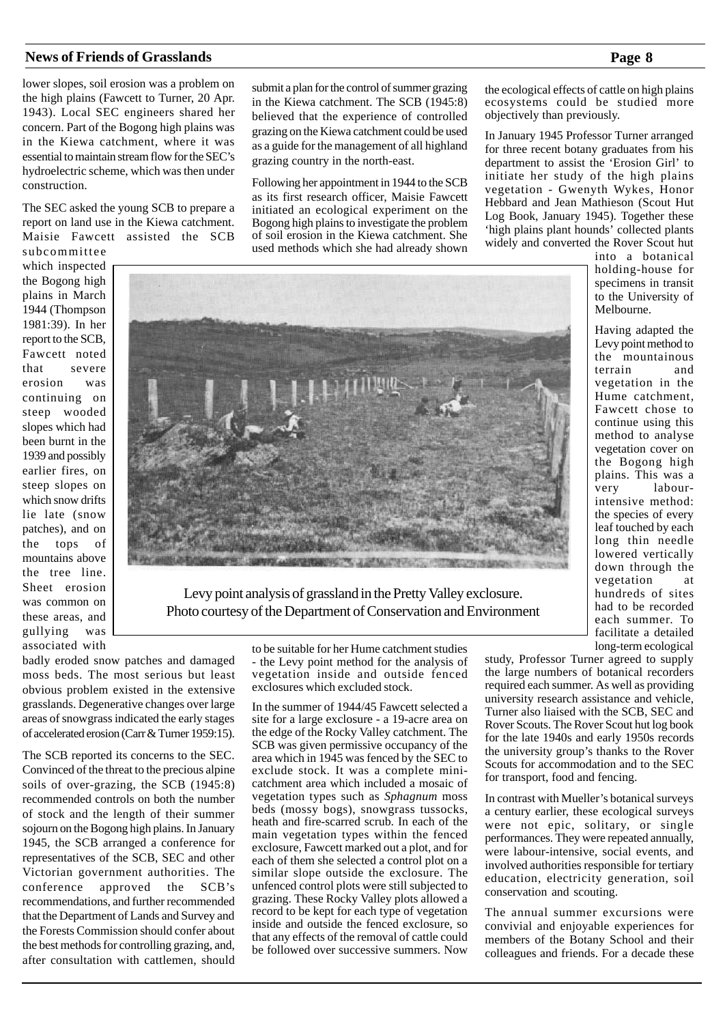lower slopes, soil erosion was a problem on the high plains (Fawcett to Turner, 20 Apr. 1943). Local SEC engineers shared her concern. Part of the Bogong high plains was in the Kiewa catchment, where it was essential to maintain stream flow for the SEC's hydroelectric scheme, which was then under construction.

The SEC asked the young SCB to prepare a report on land use in the Kiewa catchment. Maisie Fawcett assisted the SCB subcommittee

which inspected the Bogong high plains in March 1944 (Thompson 1981:39). In her report to the SCB, Fawcett noted that severe erosion was continuing on steep wooded slopes which had been burnt in the 1939 and possibly earlier fires, on steep slopes on which snow drifts lie late (snow patches), and on the tops of mountains above the tree line. Sheet erosion was common on these areas, and gullying was associated with

submit a plan for the control of summer grazing in the Kiewa catchment. The SCB (1945:8) believed that the experience of controlled grazing on the Kiewa catchment could be used as a guide for the management of all highland grazing country in the north-east.

Following her appointment in 1944 to the SCB as its first research officer, Maisie Fawcett initiated an ecological experiment on the Bogong high plains to investigate the problem of soil erosion in the Kiewa catchment. She used methods which she had already shown

the ecological effects of cattle on high plains ecosystems could be studied more objectively than previously.

In January 1945 Professor Turner arranged for three recent botany graduates from his department to assist the 'Erosion Girl' to initiate her study of the high plains vegetation - Gwenyth Wykes, Honor Hebbard and Jean Mathieson (Scout Hut Log Book, January 1945). Together these 'high plains plant hounds' collected plants widely and converted the Rover Scout hut

into a botanical holding-house for specimens in transit to the University of Melbourne.

Having adapted the Levy point method to the mountainous terrain and vegetation in the Hume catchment, Fawcett chose to continue using this method to analyse vegetation cover on the Bogong high plains. This was a very labourintensive method: the species of every leaf touched by each long thin needle lowered vertically down through the vegetation at hundreds of sites had to be recorded each summer. To facilitate a detailed long-term ecological

badly eroded snow patches and damaged moss beds. The most serious but least obvious problem existed in the extensive grasslands. Degenerative changes over large areas of snowgrass indicated the early stages of accelerated erosion (Carr & Turner 1959:15).

The SCB reported its concerns to the SEC. Convinced of the threat to the precious alpine soils of over-grazing, the SCB (1945:8) recommended controls on both the number of stock and the length of their summer sojourn on the Bogong high plains. In January 1945, the SCB arranged a conference for representatives of the SCB, SEC and other Victorian government authorities. The conference approved the SCB's recommendations, and further recommended that the Department of Lands and Survey and the Forests Commission should confer about the best methods for controlling grazing, and, after consultation with cattlemen, should

- the Levy point method for the analysis of vegetation inside and outside fenced exclosures which excluded stock.

In the summer of 1944/45 Fawcett selected a site for a large exclosure - a 19-acre area on the edge of the Rocky Valley catchment. The SCB was given permissive occupancy of the area which in 1945 was fenced by the SEC to exclude stock. It was a complete minicatchment area which included a mosaic of vegetation types such as *Sphagnum* moss beds (mossy bogs), snowgrass tussocks, heath and fire-scarred scrub. In each of the main vegetation types within the fenced exclosure, Fawcett marked out a plot, and for each of them she selected a control plot on a similar slope outside the exclosure. The unfenced control plots were still subjected to grazing. These Rocky Valley plots allowed a record to be kept for each type of vegetation inside and outside the fenced exclosure, so that any effects of the removal of cattle could be followed over successive summers. Now

study, Professor Turner agreed to supply the large numbers of botanical recorders required each summer. As well as providing university research assistance and vehicle, Turner also liaised with the SCB, SEC and Rover Scouts. The Rover Scout hut log book for the late 1940s and early 1950s records the university group's thanks to the Rover Scouts for accommodation and to the SEC for transport, food and fencing.

In contrast with Mueller's botanical surveys a century earlier, these ecological surveys were not epic, solitary, or single performances. They were repeated annually, were labour-intensive, social events, and involved authorities responsible for tertiary education, electricity generation, soil conservation and scouting.

The annual summer excursions were convivial and enjoyable experiences for members of the Botany School and their colleagues and friends. For a decade these

# to be suitable for her Hume catchment studies

Photo courtesy of the Department of Conservation and Environment

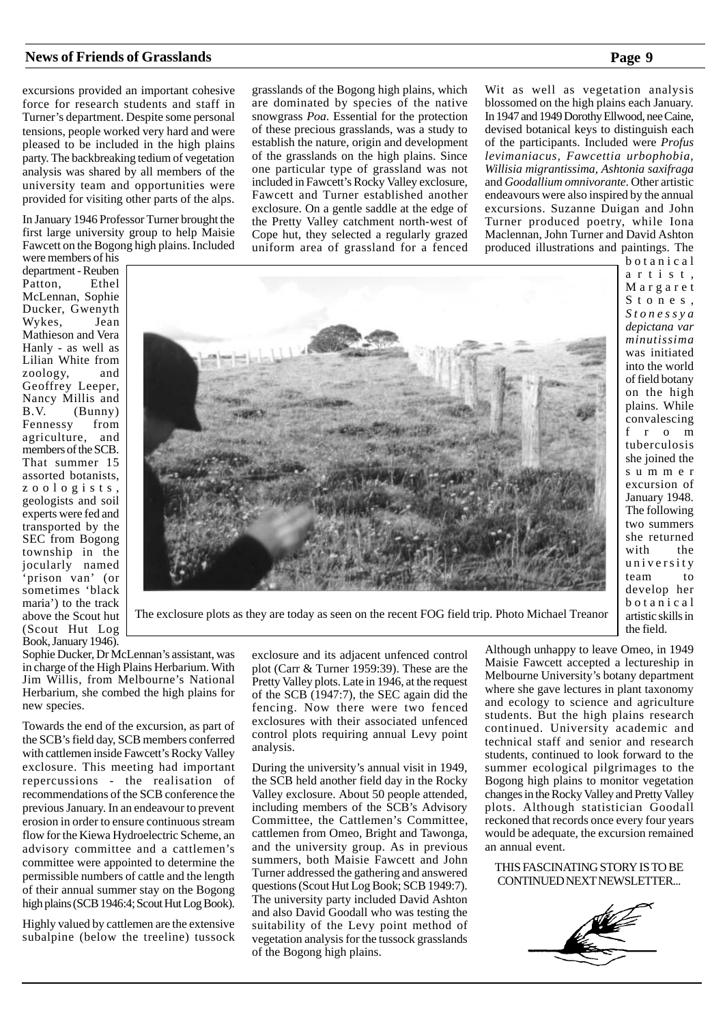excursions provided an important cohesive force for research students and staff in Turner's department. Despite some personal tensions, people worked very hard and were pleased to be included in the high plains party. The backbreaking tedium of vegetation analysis was shared by all members of the university team and opportunities were provided for visiting other parts of the alps.

In January 1946 Professor Turner brought the first large university group to help Maisie Fawcett on the Bogong high plains. Included

were members of his department - Reuben<br>Patton, Ethel Patton, McLennan, Sophie Ducker, Gwenyth<br>Wykes, Jean Wykes, Mathieson and Vera Hanly - as well as Lilian White from<br>zoology and zoology, Geoffrey Leeper, Nancy Millis and<br>B V (Bunny)  $(Bunny)$ Fennessy from agriculture, and members of the SCB. That summer 15 assorted botanists, zoologists, geologists and soil experts were fed and transported by the SEC from Bogong township in the jocularly named 'prison van' (or sometimes 'black maria') to the track above the Scout hut (Scout Hut Log Book, January 1946).

grasslands of the Bogong high plains, which are dominated by species of the native snowgrass *Poa*. Essential for the protection of these precious grasslands, was a study to establish the nature, origin and development of the grasslands on the high plains. Since one particular type of grassland was not included in Fawcett's Rocky Valley exclosure, Fawcett and Turner established another exclosure. On a gentle saddle at the edge of the Pretty Valley catchment north-west of Cope hut, they selected a regularly grazed uniform area of grassland for a fenced

Wit as well as vegetation analysis blossomed on the high plains each January. In 1947 and 1949 Dorothy Ellwood, nee Caine, devised botanical keys to distinguish each of the participants. Included were *Profus levimaniacus, Fawcettia urbophobia, Willisia migrantissima, Ashtonia saxifraga* and *Goodallium omnivorante*. Other artistic endeavours were also inspired by the annual excursions. Suzanne Duigan and John Turner produced poetry, while Iona Maclennan, John Turner and David Ashton produced illustrations and paintings. The



botanical artist, Margaret Stones, *Stonessya depictana var minutissima* was initiated into the world of field botany on the high plains. While convalescing from tuberculosis she joined the summer excursion of January 1948. The following two summers she returned with the university team to develop her botanical artistic skills in the field.

The exclosure plots as they are today as seen on the recent FOG field trip. Photo Michael Treanor

Sophie Ducker, Dr McLennan's assistant, was in charge of the High Plains Herbarium. With Jim Willis, from Melbourne's National Herbarium, she combed the high plains for new species.

Towards the end of the excursion, as part of the SCB's field day, SCB members conferred with cattlemen inside Fawcett's Rocky Valley exclosure. This meeting had important repercussions - the realisation of recommendations of the SCB conference the previous January. In an endeavour to prevent erosion in order to ensure continuous stream flow for the Kiewa Hydroelectric Scheme, an advisory committee and a cattlemen's committee were appointed to determine the permissible numbers of cattle and the length of their annual summer stay on the Bogong high plains (SCB 1946:4; Scout Hut Log Book).

Highly valued by cattlemen are the extensive subalpine (below the treeline) tussock exclosure and its adjacent unfenced control plot (Carr & Turner 1959:39). These are the Pretty Valley plots. Late in 1946, at the request of the SCB (1947:7), the SEC again did the fencing. Now there were two fenced exclosures with their associated unfenced control plots requiring annual Levy point analysis.

During the university's annual visit in 1949, the SCB held another field day in the Rocky Valley exclosure. About 50 people attended, including members of the SCB's Advisory Committee, the Cattlemen's Committee, cattlemen from Omeo, Bright and Tawonga, and the university group. As in previous summers, both Maisie Fawcett and John Turner addressed the gathering and answered questions (Scout Hut Log Book; SCB 1949:7). The university party included David Ashton and also David Goodall who was testing the suitability of the Levy point method of vegetation analysis for the tussock grasslands of the Bogong high plains.

Although unhappy to leave Omeo, in 1949 Maisie Fawcett accepted a lectureship in Melbourne University's botany department where she gave lectures in plant taxonomy and ecology to science and agriculture students. But the high plains research continued. University academic and technical staff and senior and research students, continued to look forward to the summer ecological pilgrimages to the Bogong high plains to monitor vegetation changes in the Rocky Valley and Pretty Valley plots. Although statistician Goodall reckoned that records once every four years would be adequate, the excursion remained an annual event.

THIS FASCINATING STORY IS TO BE CONTINUED NEXT NEWSLETTER...

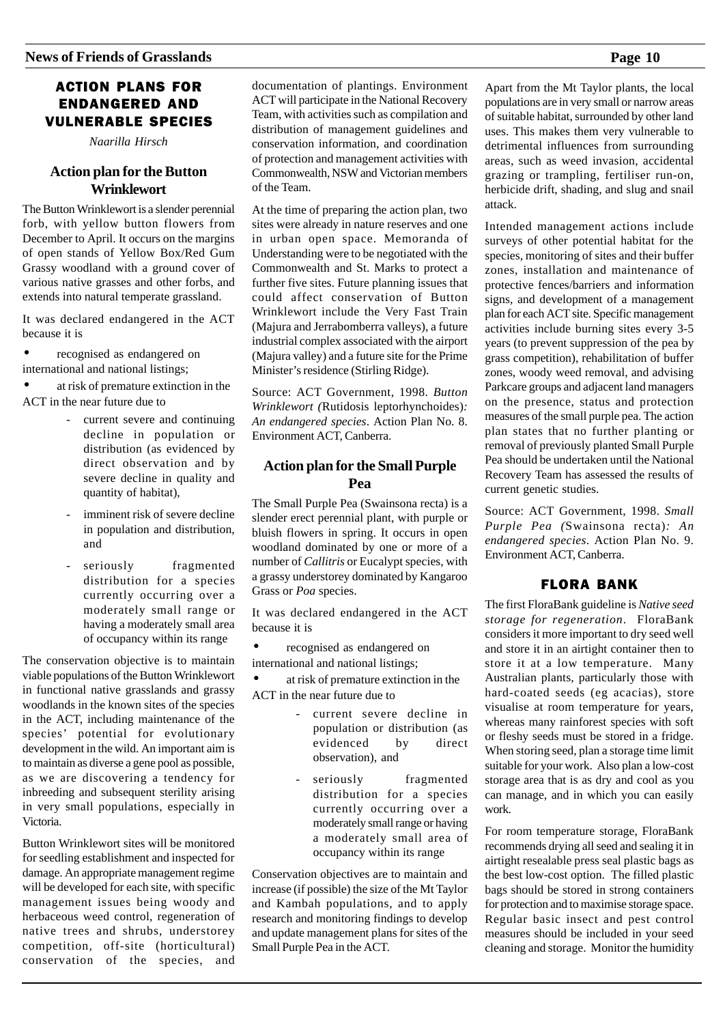### ACTION PLANS FOR ENDANGERED AND VULNERABLE SPECIES

*Naarilla Hirsch*

### **Action plan for the Button Wrinklewort**

The Button Wrinklewort is a slender perennial forb, with yellow button flowers from December to April. It occurs on the margins of open stands of Yellow Box/Red Gum Grassy woodland with a ground cover of various native grasses and other forbs, and extends into natural temperate grassland.

It was declared endangered in the ACT because it is

• recognised as endangered on international and national listings;

• at risk of premature extinction in the ACT in the near future due to

- current severe and continuing decline in population or distribution (as evidenced by direct observation and by severe decline in quality and quantity of habitat),
- imminent risk of severe decline in population and distribution, and
- seriously fragmented distribution for a species currently occurring over a moderately small range or having a moderately small area of occupancy within its range

The conservation objective is to maintain viable populations of the Button Wrinklewort in functional native grasslands and grassy woodlands in the known sites of the species in the ACT, including maintenance of the species' potential for evolutionary development in the wild. An important aim is to maintain as diverse a gene pool as possible, as we are discovering a tendency for inbreeding and subsequent sterility arising in very small populations, especially in Victoria.

Button Wrinklewort sites will be monitored for seedling establishment and inspected for damage. An appropriate management regime will be developed for each site, with specific management issues being woody and herbaceous weed control, regeneration of native trees and shrubs, understorey competition, off-site (horticultural) conservation of the species, and documentation of plantings. Environment ACT will participate in the National Recovery Team, with activities such as compilation and distribution of management guidelines and conservation information, and coordination of protection and management activities with Commonwealth, NSW and Victorian members of the Team.

At the time of preparing the action plan, two sites were already in nature reserves and one in urban open space. Memoranda of Understanding were to be negotiated with the Commonwealth and St. Marks to protect a further five sites. Future planning issues that could affect conservation of Button Wrinklewort include the Very Fast Train (Majura and Jerrabomberra valleys), a future industrial complex associated with the airport (Majura valley) and a future site for the Prime Minister's residence (Stirling Ridge).

Source: ACT Government, 1998. *Button Wrinklewort (*Rutidosis leptorhynchoides)*: An endangered species*. Action Plan No. 8. Environment ACT, Canberra.

### **Action plan for the Small Purple Pea**

The Small Purple Pea (Swainsona recta) is a slender erect perennial plant, with purple or bluish flowers in spring. It occurs in open woodland dominated by one or more of a number of *Callitris* or Eucalypt species, with a grassy understorey dominated by Kangaroo Grass or *Poa* species.

It was declared endangered in the ACT because it is

• recognised as endangered on international and national listings;

• at risk of premature extinction in the ACT in the near future due to

- current severe decline in population or distribution (as evidenced by direct observation), and
- seriously fragmented distribution for a species currently occurring over a moderately small range or having a moderately small area of occupancy within its range

Conservation objectives are to maintain and increase (if possible) the size of the Mt Taylor and Kambah populations, and to apply research and monitoring findings to develop and update management plans for sites of the Small Purple Pea in the ACT.

Apart from the Mt Taylor plants, the local populations are in very small or narrow areas of suitable habitat, surrounded by other land uses. This makes them very vulnerable to detrimental influences from surrounding areas, such as weed invasion, accidental grazing or trampling, fertiliser run-on, herbicide drift, shading, and slug and snail attack.

Intended management actions include surveys of other potential habitat for the species, monitoring of sites and their buffer zones, installation and maintenance of protective fences/barriers and information signs, and development of a management plan for each ACT site. Specific management activities include burning sites every 3-5 years (to prevent suppression of the pea by grass competition), rehabilitation of buffer zones, woody weed removal, and advising Parkcare groups and adjacent land managers on the presence, status and protection measures of the small purple pea. The action plan states that no further planting or removal of previously planted Small Purple Pea should be undertaken until the National Recovery Team has assessed the results of current genetic studies.

Source: ACT Government, 1998. *Small Purple Pea (*Swainsona recta)*: An endangered species*. Action Plan No. 9. Environment ACT, Canberra.

### FLORA BANK

The first FloraBank guideline is *Native seed storage for regeneration*. FloraBank considers it more important to dry seed well and store it in an airtight container then to store it at a low temperature. Many Australian plants, particularly those with hard-coated seeds (eg acacias), store visualise at room temperature for years, whereas many rainforest species with soft or fleshy seeds must be stored in a fridge. When storing seed, plan a storage time limit suitable for your work. Also plan a low-cost storage area that is as dry and cool as you can manage, and in which you can easily work.

For room temperature storage, FloraBank recommends drying all seed and sealing it in airtight resealable press seal plastic bags as the best low-cost option. The filled plastic bags should be stored in strong containers for protection and to maximise storage space. Regular basic insect and pest control measures should be included in your seed cleaning and storage. Monitor the humidity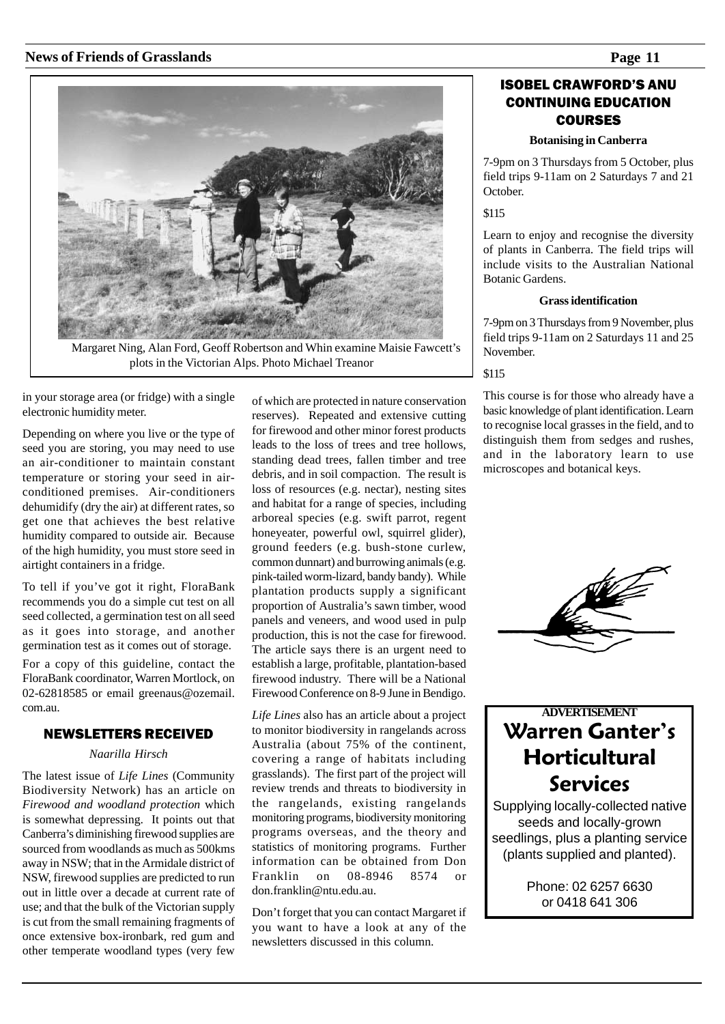

Margaret Ning, Alan Ford, Geoff Robertson and Whin examine Maisie Fawcett's plots in the Victorian Alps. Photo Michael Treanor

in your storage area (or fridge) with a single electronic humidity meter.

Depending on where you live or the type of seed you are storing, you may need to use an air-conditioner to maintain constant temperature or storing your seed in airconditioned premises. Air-conditioners dehumidify (dry the air) at different rates, so get one that achieves the best relative humidity compared to outside air. Because of the high humidity, you must store seed in airtight containers in a fridge.

To tell if you've got it right, FloraBank recommends you do a simple cut test on all seed collected, a germination test on all seed as it goes into storage, and another germination test as it comes out of storage.

For a copy of this guideline, contact the FloraBank coordinator, Warren Mortlock, on 02-62818585 or email greenaus@ozemail. com.au.

### NEWSLETTERS RECEIVED

### *Naarilla Hirsch*

The latest issue of *Life Lines* (Community Biodiversity Network) has an article on *Firewood and woodland protection* which is somewhat depressing. It points out that Canberra's diminishing firewood supplies are sourced from woodlands as much as 500kms away in NSW; that in the Armidale district of NSW, firewood supplies are predicted to run out in little over a decade at current rate of use; and that the bulk of the Victorian supply is cut from the small remaining fragments of once extensive box-ironbark, red gum and other temperate woodland types (very few

of which are protected in nature conservation reserves). Repeated and extensive cutting for firewood and other minor forest products leads to the loss of trees and tree hollows, standing dead trees, fallen timber and tree debris, and in soil compaction. The result is loss of resources (e.g. nectar), nesting sites and habitat for a range of species, including arboreal species (e.g. swift parrot, regent honeyeater, powerful owl, squirrel glider), ground feeders (e.g. bush-stone curlew, common dunnart) and burrowing animals (e.g. pink-tailed worm-lizard, bandy bandy). While plantation products supply a significant proportion of Australia's sawn timber, wood panels and veneers, and wood used in pulp production, this is not the case for firewood. The article says there is an urgent need to establish a large, profitable, plantation-based firewood industry. There will be a National Firewood Conference on 8-9 June in Bendigo.

*Life Lines* also has an article about a project to monitor biodiversity in rangelands across Australia (about 75% of the continent, covering a range of habitats including grasslands). The first part of the project will review trends and threats to biodiversity in the rangelands, existing rangelands monitoring programs, biodiversity monitoring programs overseas, and the theory and statistics of monitoring programs. Further information can be obtained from Don<br>Franklin on 08-8946 8574 or on 08-8946 8574 or don.franklin@ntu.edu.au.

Don't forget that you can contact Margaret if you want to have a look at any of the newsletters discussed in this column.

### **ISOBEL CRAWFORD'S ANU** CONTINUING EDUCATION COURSES

### **Botanising in Canberra**

7-9pm on 3 Thursdays from 5 October, plus field trips 9-11am on 2 Saturdays 7 and 21 October.

\$115

Learn to enjoy and recognise the diversity of plants in Canberra. The field trips will include visits to the Australian National Botanic Gardens.

### **Grass identification**

7-9pm on 3 Thursdays from 9 November, plus field trips 9-11am on 2 Saturdays 11 and 25 November.

\$115

This course is for those who already have a basic knowledge of plant identification. Learn to recognise local grasses in the field, and to distinguish them from sedges and rushes, and in the laboratory learn to use microscopes and botanical keys.



## **ADVERTISEMENT Warren Ganter's Horticultural** Services

Supplying locally-collected native seeds and locally-grown seedlings, plus a planting service (plants supplied and planted).

> Phone: 02 6257 6630 or 0418 641 306